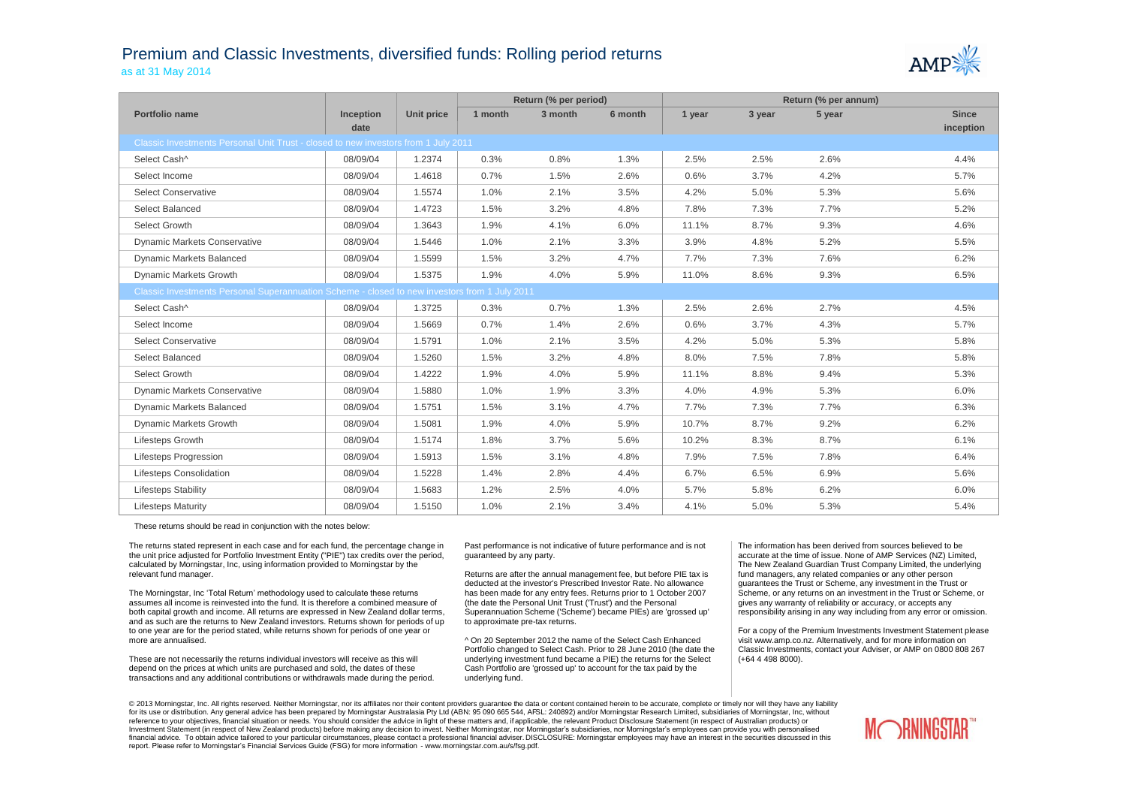## Premium and Classic Investments, diversified funds: Rolling period returns as at 31 May 2014



|                                                                                               |                  |            | Return (% per period) |         | Return (% per annum) |        |        |        |              |
|-----------------------------------------------------------------------------------------------|------------------|------------|-----------------------|---------|----------------------|--------|--------|--------|--------------|
| Portfolio name                                                                                | <b>Inception</b> | Unit price | 1 month               | 3 month | 6 month              | 1 year | 3 year | 5 year | <b>Since</b> |
|                                                                                               | date             |            |                       |         |                      |        |        |        | inception    |
| Classic Investments Personal Unit Trust - closed to new investors from 1 July 2011            |                  |            |                       |         |                      |        |        |        |              |
| Select Cash^                                                                                  | 08/09/04         | 1.2374     | 0.3%                  | 0.8%    | 1.3%                 | 2.5%   | 2.5%   | 2.6%   | 4.4%         |
| Select Income                                                                                 | 08/09/04         | 1.4618     | 0.7%                  | 1.5%    | 2.6%                 | 0.6%   | 3.7%   | 4.2%   | 5.7%         |
| <b>Select Conservative</b>                                                                    | 08/09/04         | 1.5574     | 1.0%                  | 2.1%    | 3.5%                 | 4.2%   | 5.0%   | 5.3%   | 5.6%         |
| Select Balanced                                                                               | 08/09/04         | 1.4723     | 1.5%                  | 3.2%    | 4.8%                 | 7.8%   | 7.3%   | 7.7%   | 5.2%         |
| Select Growth                                                                                 | 08/09/04         | 1.3643     | 1.9%                  | 4.1%    | 6.0%                 | 11.1%  | 8.7%   | 9.3%   | 4.6%         |
| <b>Dynamic Markets Conservative</b>                                                           | 08/09/04         | 1.5446     | 1.0%                  | 2.1%    | 3.3%                 | 3.9%   | 4.8%   | 5.2%   | 5.5%         |
| Dynamic Markets Balanced                                                                      | 08/09/04         | 1.5599     | 1.5%                  | 3.2%    | 4.7%                 | 7.7%   | 7.3%   | 7.6%   | 6.2%         |
| Dynamic Markets Growth                                                                        | 08/09/04         | 1.5375     | 1.9%                  | 4.0%    | 5.9%                 | 11.0%  | 8.6%   | 9.3%   | 6.5%         |
| Classic Investments Personal Superannuation Scheme - closed to new investors from 1 July 2011 |                  |            |                       |         |                      |        |        |        |              |
| Select Cash^                                                                                  | 08/09/04         | 1.3725     | 0.3%                  | 0.7%    | 1.3%                 | 2.5%   | 2.6%   | 2.7%   | 4.5%         |
| Select Income                                                                                 | 08/09/04         | 1.5669     | 0.7%                  | 1.4%    | 2.6%                 | 0.6%   | 3.7%   | 4.3%   | 5.7%         |
| <b>Select Conservative</b>                                                                    | 08/09/04         | 1.5791     | 1.0%                  | 2.1%    | 3.5%                 | 4.2%   | 5.0%   | 5.3%   | 5.8%         |
| Select Balanced                                                                               | 08/09/04         | 1.5260     | 1.5%                  | 3.2%    | 4.8%                 | 8.0%   | 7.5%   | 7.8%   | 5.8%         |
| Select Growth                                                                                 | 08/09/04         | 1.4222     | 1.9%                  | 4.0%    | 5.9%                 | 11.1%  | 8.8%   | 9.4%   | 5.3%         |
| <b>Dynamic Markets Conservative</b>                                                           | 08/09/04         | 1.5880     | 1.0%                  | 1.9%    | 3.3%                 | 4.0%   | 4.9%   | 5.3%   | 6.0%         |
| Dynamic Markets Balanced                                                                      | 08/09/04         | 1.5751     | 1.5%                  | 3.1%    | 4.7%                 | 7.7%   | 7.3%   | 7.7%   | 6.3%         |
| <b>Dynamic Markets Growth</b>                                                                 | 08/09/04         | 1.5081     | 1.9%                  | 4.0%    | 5.9%                 | 10.7%  | 8.7%   | 9.2%   | 6.2%         |
| Lifesteps Growth                                                                              | 08/09/04         | 1.5174     | 1.8%                  | 3.7%    | 5.6%                 | 10.2%  | 8.3%   | 8.7%   | 6.1%         |
| Lifesteps Progression                                                                         | 08/09/04         | 1.5913     | 1.5%                  | 3.1%    | 4.8%                 | 7.9%   | 7.5%   | 7.8%   | 6.4%         |
| <b>Lifesteps Consolidation</b>                                                                | 08/09/04         | 1.5228     | 1.4%                  | 2.8%    | 4.4%                 | 6.7%   | 6.5%   | 6.9%   | 5.6%         |
| <b>Lifesteps Stability</b>                                                                    | 08/09/04         | 1.5683     | 1.2%                  | 2.5%    | 4.0%                 | 5.7%   | 5.8%   | 6.2%   | 6.0%         |
| <b>Lifesteps Maturity</b>                                                                     | 08/09/04         | 1.5150     | 1.0%                  | 2.1%    | 3.4%                 | 4.1%   | 5.0%   | 5.3%   | 5.4%         |

These returns should be read in conjunction with the notes below:

The returns stated represent in each case and for each fund, the percentage change in the unit price adjusted for Portfolio Investment Entity ("PIE") tax credits over the period, calculated by Morningstar, Inc, using information provided to Morningstar by the relevant fund manager.

The Morningstar, Inc 'Total Return' methodology used to calculate these returns assumes all income is reinvested into the fund. It is therefore a combined measure of both capital growth and income. All returns are expressed in New Zealand dollar terms, and as such are the returns to New Zealand investors. Returns shown for periods of up to one year are for the period stated, while returns shown for periods of one year or more are annualised.

These are not necessarily the returns individual investors will receive as this will depend on the prices at which units are purchased and sold, the dates of these transactions and any additional contributions or withdrawals made during the period.

Past performance is not indicative of future performance and is not guaranteed by any party.

Returns are after the annual management fee, but before PIE tax is deducted at the investor's Prescribed Investor Rate. No allowance has been made for any entry fees. Returns prior to 1 October 2007 (the date the Personal Unit Trust ('Trust') and the Personal Superannuation Scheme ('Scheme') became PIEs) are 'grossed up' to approximate pre-tax returns.

^ On 20 September 2012 the name of the Select Cash Enhanced Portfolio changed to Select Cash. Prior to 28 June 2010 (the date the underlying investment fund became a PIE) the returns for the Select Cash Portfolio are 'grossed up' to account for the tax paid by the underlying fund.

The information has been derived from sources believed to be accurate at the time of issue. None of AMP Services (NZ) Limited, The New Zealand Guardian Trust Company Limited, the underlying fund managers, any related companies or any other person guarantees the Trust or Scheme, any investment in the Trust or Scheme, or any returns on an investment in the Trust or Scheme, or gives any warranty of reliability or accuracy, or accepts any responsibility arising in any way including from any error or omission.

For a copy of the Premium Investments Investment Statement please visit www.amp.co.nz. Alternatively, and for more information on Classic Investments, contact your Adviser, or AMP on 0800 808 267 (+64 4 498 8000).

© 2013 Morningstar, Inc. All rights reserved. Neither Morningstar, nor its affiliates nor their content providers quarantee the data or content contained herein to be accurate, complete or timely nor will they have any lia for its use or distribution. Any general advice has been prepared by Morningstar Australasia Pty Ltd (ABN: 95 090 665 544, AFSL: 240892) and/or Morningstar Research Limited, subsidiaries of Morningstar, Inc, without reference to your objectives, financial situation or needs. You should consider the advice in light of these matters and, if applicable, the relevant Product Disclosure Statement (in respect of Australian products) or Investment Statement (in respect of New Zealand products) before making any decision to invest. Neither Morningstar, nor Morningstar's subsidiaries, nor Morningstar's employees can provide you with personalised financial advice. To obtain advice tailored to your particular circumstances, please contact a professional financial adviser. DISCLOSURE: Morningstar employees may have an interest in the securities discussed in this report. Please refer to Morningstar's Financial Services Guide (FSG) for more information - www.morningstar.com.au/s/fsg.pdf.